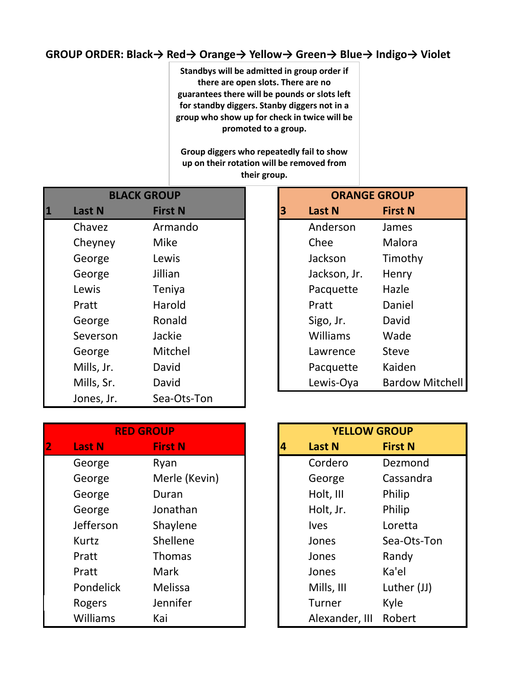## **GROUP ORDER: Black→ Red→ Orange→ Yellow→ Green→ Blue→ Indigo→ Violet**

**Standbys will be admitted in group order if there are open slots. There are no guarantees there will be pounds or slots left for standby diggers. Stanby diggers not in a group who show up for check in twice will be promoted to a group.** 

**Group diggers who repeatedly fail to show up on their rotation will be removed from their group.**

| <b>BLACK GROUP</b> |               |                |   |               | <b>ORANGE GROUP</b> |
|--------------------|---------------|----------------|---|---------------|---------------------|
| $\mathbf{1}$       | <b>Last N</b> | <b>First N</b> | 3 | <b>Last N</b> | <b>First N</b>      |
|                    | Chavez        | Armando        |   | Anderson      | James               |
|                    | Cheyney       | <b>Mike</b>    |   | Chee          | Malora              |
|                    | George        | Lewis          |   | Jackson       | Timothy             |
|                    | George        | Jillian        |   | Jackson, Jr.  | Henry               |
|                    | Lewis         | Teniya         |   | Pacquette     | Hazle               |
|                    | Pratt         | Harold         |   | Pratt         | Daniel              |
|                    | George        | Ronald         |   | Sigo, Jr.     | David               |
|                    | Severson      | Jackie         |   | Williams      | Wade                |
|                    | George        | Mitchel        |   | Lawrence      | <b>Steve</b>        |
|                    | Mills, Jr.    | David          |   | Pacquette     | Kaiden              |
|                    | Mills, Sr.    | David          |   | Lewis-Oya     | <b>Bardow</b>       |
|                    | Jones, Jr.    | Sea-Ots-Ton    |   |               |                     |

| <b>BLACK GROUP</b> |                |  |   | <b>ORANGE GROUP</b> |                        |  |
|--------------------|----------------|--|---|---------------------|------------------------|--|
| <b>Last N</b>      | <b>First N</b> |  | 3 | <b>Last N</b>       | <b>First N</b>         |  |
| Chavez             | Armando        |  |   | Anderson            | James                  |  |
| Cheyney            | <b>Mike</b>    |  |   | Chee                | Malora                 |  |
| George             | Lewis          |  |   | Jackson             | Timothy                |  |
| George             | Jillian        |  |   | Jackson, Jr.        | Henry                  |  |
| Lewis              | Teniya         |  |   | Pacquette           | Hazle                  |  |
| Pratt              | Harold         |  |   | Pratt               | Daniel                 |  |
| George             | Ronald         |  |   | Sigo, Jr.           | David                  |  |
| Severson           | Jackie         |  |   | Williams            | Wade                   |  |
| George             | Mitchel        |  |   | Lawrence            | <b>Steve</b>           |  |
| Mills, Jr.         | David          |  |   | Pacquette           | Kaiden                 |  |
| Mills, Sr.         | David          |  |   | Lewis-Oya           | <b>Bardow Mitchell</b> |  |

| <b>RED GROUP</b> |               |                |    | <b>YELLOW GROUP</b> |                |  |
|------------------|---------------|----------------|----|---------------------|----------------|--|
| $\overline{2}$   | <b>Last N</b> | <b>First N</b> | 14 | <b>Last N</b>       | <b>First N</b> |  |
|                  | George        | Ryan           |    | Cordero             | Dezmond        |  |
|                  | George        | Merle (Kevin)  |    | George              | Cassandra      |  |
|                  | George        | Duran          |    | Holt, III           | Philip         |  |
|                  | George        | Jonathan       |    | Holt, Jr.           | Philip         |  |
|                  | Jefferson     | Shaylene       |    | <b>Ives</b>         | Loretta        |  |
|                  | Kurtz         | Shellene       |    | Jones               | Sea-Ots-Ton    |  |
|                  | Pratt         | <b>Thomas</b>  |    | Jones               | Randy          |  |
|                  | Pratt         | Mark           |    | Jones               | Ka'el          |  |
|                  | Pondelick     | Melissa        |    | Mills, III          | Luther (JJ)    |  |
|                  | Rogers        | Jennifer       |    | Turner              | Kyle           |  |
|                  | Williams      | Kai            |    | Alexander, III      | Robert         |  |

|                | <b>YELLOW GROUP</b> |                |  |  |  |
|----------------|---------------------|----------------|--|--|--|
|                | <b>Last N</b>       | <b>First N</b> |  |  |  |
|                | Cordero             | Dezmond        |  |  |  |
|                | George              | Cassandra      |  |  |  |
|                | Holt, III           | Philip         |  |  |  |
| Holt, Jr.      |                     | Philip         |  |  |  |
| <b>lves</b>    |                     | Loretta        |  |  |  |
| Jones          |                     | Sea-Ots-Ton    |  |  |  |
| Jones          |                     | Randy          |  |  |  |
| Jones          |                     | Ka'el          |  |  |  |
|                | Mills, III          | Luther (JJ)    |  |  |  |
| Turner         |                     | Kyle           |  |  |  |
| Alexander, III |                     | Robert         |  |  |  |